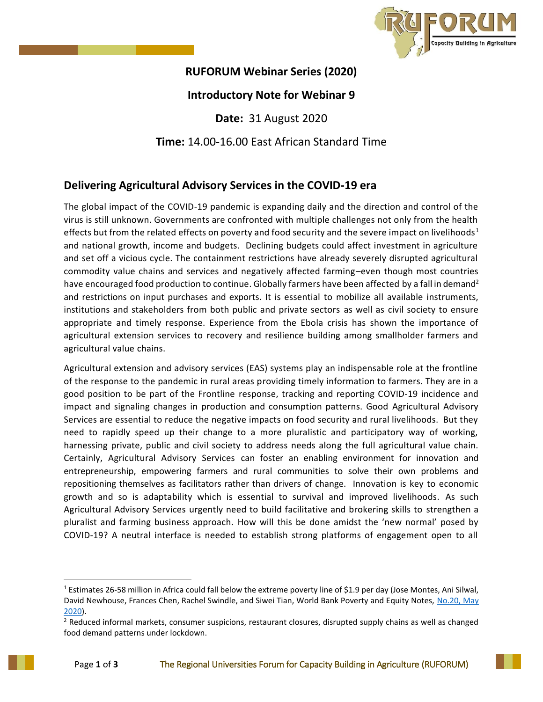

## **RUFORUM Webinar Series (2020)**

## **Introductory Note for Webinar 9**

**Date:** 31 August 2020

**Time:** 14.00-16.00 East African Standard Time

## **Delivering Agricultural Advisory Services in the COVID-19 era**

The global impact of the COVID-19 pandemic is expanding daily and the direction and control of the virus is still unknown. Governments are confronted with multiple challenges not only from the health effects but from the related effects on poverty and food security and the severe impact on livelihoods<sup>1</sup> and national growth, income and budgets. Declining budgets could affect investment in agriculture and set off a vicious cycle. The containment restrictions have already severely disrupted agricultural commodity value chains and services and negatively affected farming–even though most countries have encouraged food production to continue. Globally farmers have been affected by a fall in demand<sup>2</sup> and restrictions on input purchases and exports. It is essential to mobilize all available instruments, institutions and stakeholders from both public and private sectors as well as civil society to ensure appropriate and timely response. Experience from the Ebola crisis has shown the importance of agricultural extension services to recovery and resilience building among smallholder farmers and agricultural value chains.

Agricultural extension and advisory services (EAS) systems play an indispensable role at the frontline of the response to the pandemic in rural areas providing timely information to farmers. They are in a good position to be part of the Frontline response, tracking and reporting COVID-19 incidence and impact and signaling changes in production and consumption patterns. Good Agricultural Advisory Services are essential to reduce the negative impacts on food security and rural livelihoods. But they need to rapidly speed up their change to a more pluralistic and participatory way of working, harnessing private, public and civil society to address needs along the full agricultural value chain. Certainly, Agricultural Advisory Services can foster an enabling environment for innovation and entrepreneurship, empowering farmers and rural communities to solve their own problems and repositioning themselves as facilitators rather than drivers of change. Innovation is key to economic growth and so is adaptability which is essential to survival and improved livelihoods. As such Agricultural Advisory Services urgently need to build facilitative and brokering skills to strengthen a pluralist and farming business approach. How will this be done amidst the 'new normal' posed by COVID-19? A neutral interface is needed to establish strong platforms of engagement open to all

l

<sup>&</sup>lt;sup>1</sup> Estimates 26-58 million in Africa could fall below the extreme poverty line of \$1.9 per day (Jose Montes, Ani Silwal, David Newhouse, Frances Chen, Rachel Swindle, and Siwei Tian, World Bank Poverty and Equity Notes, [No.20,](https://www.tralac.org/documents/resources/covid-19/regional/3581-how-much-will-poverty-rise-in-sub-saharan-africa-in-2020-world-bank-poverty-equity-note-may-2020/file.html) May [2020\)](https://www.tralac.org/documents/resources/covid-19/regional/3581-how-much-will-poverty-rise-in-sub-saharan-africa-in-2020-world-bank-poverty-equity-note-may-2020/file.html).

<sup>&</sup>lt;sup>2</sup> Reduced informal markets, consumer suspicions, restaurant closures, disrupted supply chains as well as changed food demand patterns under lockdown.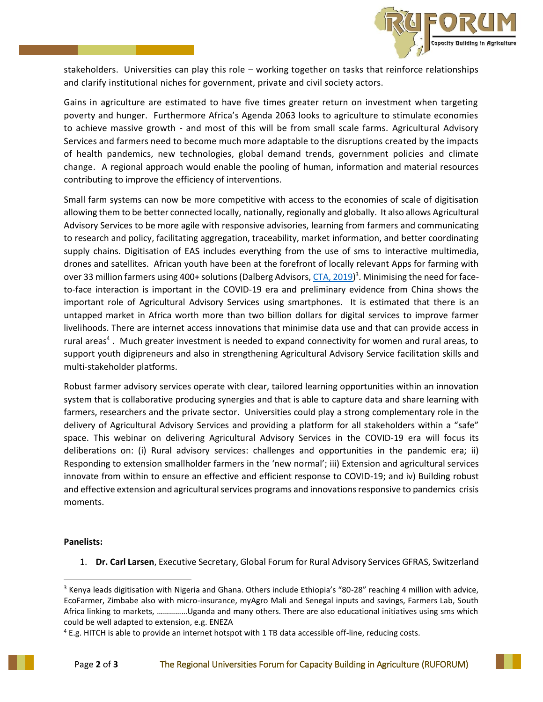

stakeholders. Universities can play this role – working together on tasks that reinforce relationships and clarify institutional niches for government, private and civil society actors.

Gains in agriculture are estimated to have five times greater return on investment when targeting poverty and hunger. Furthermore Africa's Agenda 2063 looks to agriculture to stimulate economies to achieve massive growth - and most of this will be from small scale farms. Agricultural Advisory Services and farmers need to become much more adaptable to the disruptions created by the impacts of health pandemics, new technologies, global demand trends, government policies and climate change. A regional approach would enable the pooling of human, information and material resources contributing to improve the efficiency of interventions.

Small farm systems can now be more competitive with access to the economies of scale of digitisation allowing them to be better connected locally, nationally, regionally and globally. It also allows Agricultural Advisory Services to be more agile with responsive advisories, learning from farmers and communicating to research and policy, facilitating aggregation, traceability, market information, and better coordinating supply chains. Digitisation of EAS includes everything from the use of sms to interactive multimedia, drones and satellites. African youth have been at the forefront of locally relevant Apps for farming with over 33 million farmers using 400+ solutions (Dalberg Advisors, <u>CTA, 2019</u>)<sup>3</sup>. Minimising the need for faceto-face interaction is important in the COVID-19 era and preliminary evidence from China shows the important role of Agricultural Advisory Services using smartphones. It is estimated that there is an untapped market in Africa worth more than two billion dollars for digital services to improve farmer livelihoods. There are internet access innovations that minimise data use and that can provide access in rural areas<sup>4</sup>. Much greater investment is needed to expand connectivity for women and rural areas, to support youth digipreneurs and also in strengthening Agricultural Advisory Service facilitation skills and multi-stakeholder platforms.

Robust farmer advisory services operate with clear, tailored learning opportunities within an innovation system that is collaborative producing synergies and that is able to capture data and share learning with farmers, researchers and the private sector. Universities could play a strong complementary role in the delivery of Agricultural Advisory Services and providing a platform for all stakeholders within a "safe" space. This webinar on delivering Agricultural Advisory Services in the COVID-19 era will focus its deliberations on: (i) Rural advisory services: challenges and opportunities in the pandemic era; ii) Responding to extension smallholder farmers in the 'new normal'; iii) Extension and agricultural services innovate from within to ensure an effective and efficient response to COVID-19; and iv) Building robust and effective extension and agricultural services programs and innovations responsive to pandemics crisis moments.

## **Panelists:**

l

1. **Dr. Carl Larsen**, Executive Secretary, Global Forum for Rural Advisory Services GFRAS, Switzerland

<sup>&</sup>lt;sup>3</sup> Kenya leads digitisation with Nigeria and Ghana. Others include Ethiopia's "80-28" reaching 4 million with advice, EcoFarmer, Zimbabe also with micro-insurance, myAgro Mali and Senegal inputs and savings, Farmers Lab, South Africa linking to markets, ……………Uganda and many others. There are also educational initiatives using sms which could be well adapted to extension, e.g. ENEZA

<sup>4</sup> E.g. HITCH is able to provide an internet hotspot with 1 TB data accessible off-line, reducing costs.